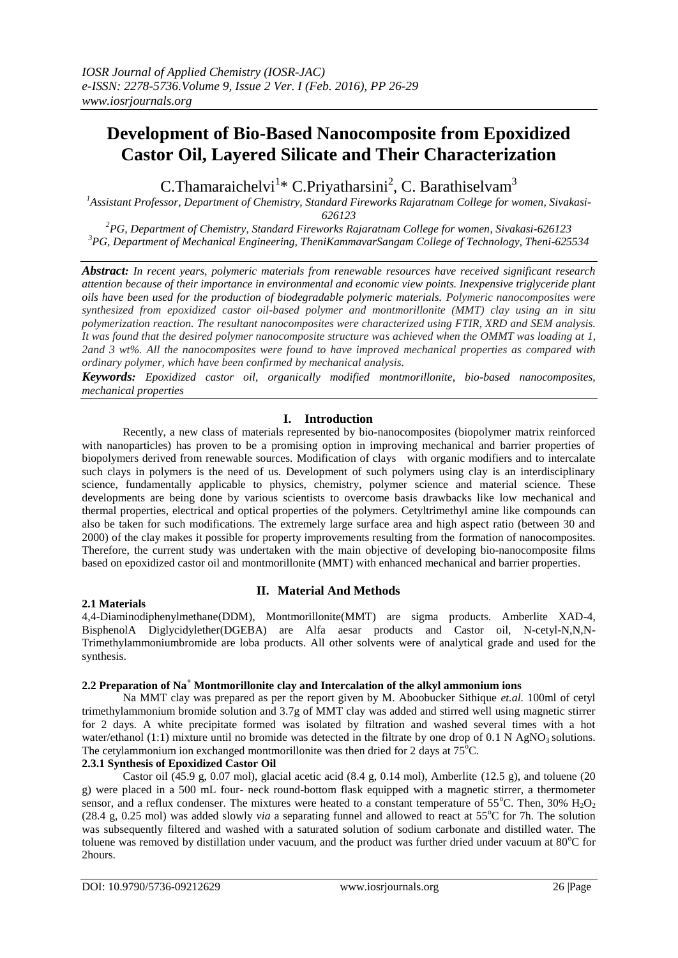# **Development of Bio-Based Nanocomposite from Epoxidized Castor Oil, Layered Silicate and Their Characterization**

C.Thamaraichelvi<sup>1</sup>\* C.Priyatharsini<sup>2</sup>, C. Barathiselvam<sup>3</sup>

*<sup>1</sup>Assistant Professor, Department of Chemistry, Standard Fireworks Rajaratnam College for women, Sivakasi-626123*

*<sup>2</sup>PG, Department of Chemistry, Standard Fireworks Rajaratnam College for women, Sivakasi-626123 <sup>3</sup>PG, Department of Mechanical Engineering, TheniKammavarSangam College of Technology, Theni-625534*

*Abstract: In recent years, polymeric materials from renewable resources have received significant research attention because of their importance in environmental and economic view points. Inexpensive triglyceride plant oils have been used for the production of biodegradable polymeric materials. Polymeric nanocomposites were synthesized from epoxidized castor oil-based polymer and montmorillonite (MMT) clay using an in situ polymerization reaction. The resultant nanocomposites were characterized using FTIR, XRD and SEM analysis. It was found that the desired polymer nanocomposite structure was achieved when the OMMT was loading at 1, 2and 3 wt%. All the nanocomposites were found to have improved mechanical properties as compared with ordinary polymer, which have been confirmed by mechanical analysis.*

*Keywords: Epoxidized castor oil, organically modified montmorillonite, bio-based nanocomposites, mechanical properties*

## **I. Introduction**

Recently, a new class of materials represented by bio-nanocomposites (biopolymer matrix reinforced with nanoparticles) has proven to be a promising option in improving mechanical and barrier properties of biopolymers derived from renewable sources. Modification of clays with organic modifiers and to intercalate such clays in polymers is the need of us. Development of such polymers using clay is an interdisciplinary science, fundamentally applicable to physics, chemistry, polymer science and material science. These developments are being done by various scientists to overcome basis drawbacks like low mechanical and thermal properties, electrical and optical properties of the polymers. Cetyltrimethyl amine like compounds can also be taken for such modifications. The extremely large surface area and high aspect ratio (between 30 and 2000) of the clay makes it possible for property improvements resulting from the formation of nanocomposites. Therefore, the current study was undertaken with the main objective of developing bio-nanocomposite films based on epoxidized castor oil and montmorillonite (MMT) with enhanced mechanical and barrier properties.

# **2.1 Materials**

# **II. Material And Methods**

4,4-Diaminodiphenylmethane(DDM), Montmorillonite(MMT) are sigma products. Amberlite XAD-4, BisphenolA Diglycidylether(DGEBA) are Alfa aesar products and Castor oil, N-cetyl-N,N,N-Trimethylammoniumbromide are loba products. All other solvents were of analytical grade and used for the synthesis.

# **2.2 Preparation of Na<sup>+</sup> Montmorillonite clay and Intercalation of the alkyl ammonium ions**

Na MMT clay was prepared as per the report given by M. Aboobucker Sithique *et.al.* 100ml of cetyl trimethylammonium bromide solution and 3.7g of MMT clay was added and stirred well using magnetic stirrer for 2 days. A white precipitate formed was isolated by filtration and washed several times with a hot water/ethanol (1:1) mixture until no bromide was detected in the filtrate by one drop of 0.1 N AgNO<sub>3</sub> solutions. The cetylammonium ion exchanged montmorillonite was then dried for 2 days at  $75^{\circ}$ C.

# **2.3.1 Synthesis of Epoxidized Castor Oil**

Castor oil (45.9 g, 0.07 mol), glacial acetic acid (8.4 g, 0.14 mol), Amberlite (12.5 g), and toluene (20 g) were placed in a 500 mL four- neck round-bottom flask equipped with a magnetic stirrer, a thermometer sensor, and a reflux condenser. The mixtures were heated to a constant temperature of  $55^{\circ}$ C. Then, 30% H<sub>2</sub>O<sub>2</sub> (28.4 g, 0.25 mol) was added slowly *via* a separating funnel and allowed to react at  $55^{\circ}$ C for 7h. The solution was subsequently filtered and washed with a saturated solution of sodium carbonate and distilled water. The toluene was removed by distillation under vacuum, and the product was further dried under vacuum at  $80^{\circ}$ C for 2hours.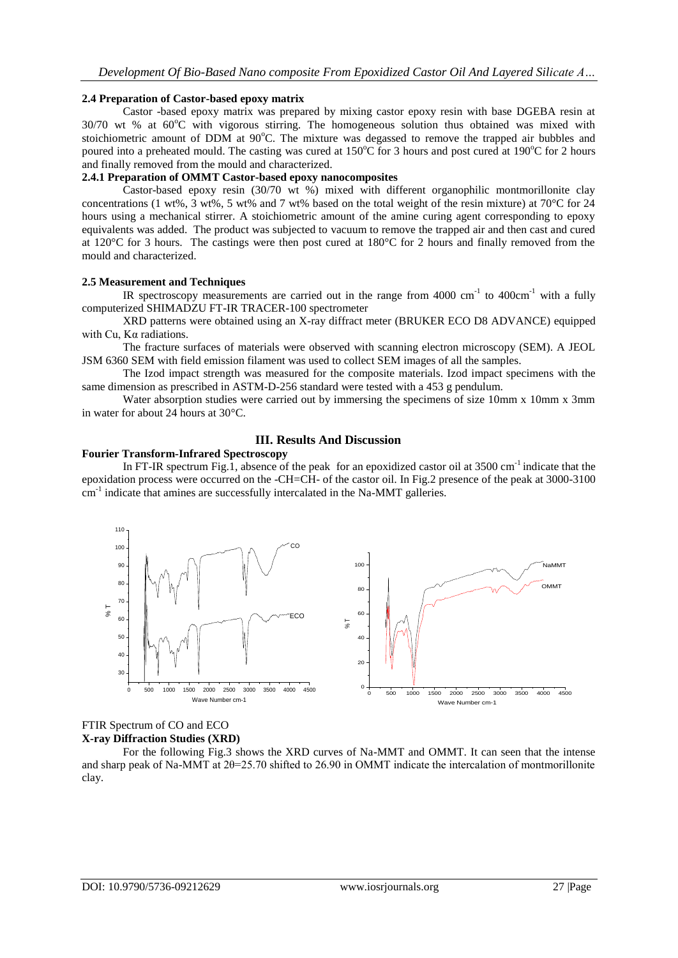### **2.4 Preparation of Castor-based epoxy matrix**

Castor -based epoxy matrix was prepared by mixing castor epoxy resin with base DGEBA resin at  $30/70$  wt % at  $60^{\circ}$ C with vigorous stirring. The homogeneous solution thus obtained was mixed with stoichiometric amount of DDM at  $90^{\circ}$ C. The mixture was degassed to remove the trapped air bubbles and poured into a preheated mould. The casting was cured at 150°C for 3 hours and post cured at 190°C for 2 hours and finally removed from the mould and characterized.

### **2.4.1 Preparation of OMMT Castor-based epoxy nanocomposites**

Castor-based epoxy resin (30/70 wt %) mixed with different organophilic montmorillonite clay concentrations (1 wt%, 3 wt%, 5 wt% and 7 wt% based on the total weight of the resin mixture) at 70°C for 24 hours using a mechanical stirrer. A stoichiometric amount of the amine curing agent corresponding to epoxy equivalents was added. The product was subjected to vacuum to remove the trapped air and then cast and cured at 120°C for 3 hours. The castings were then post cured at 180°C for 2 hours and finally removed from the mould and characterized.

### **2.5 Measurement and Techniques**

IR spectroscopy measurements are carried out in the range from  $4000 \text{ cm}^{-1}$  to  $400 \text{cm}^{-1}$  with a fully computerized SHIMADZU FT-IR TRACER-100 spectrometer

XRD patterns were obtained using an X-ray diffract meter (BRUKER ECO D8 ADVANCE) equipped with Cu, Kα radiations.

The fracture surfaces of materials were observed with scanning electron microscopy (SEM). A JEOL JSM 6360 SEM with field emission filament was used to collect SEM images of all the samples.

The Izod impact strength was measured for the composite materials. Izod impact specimens with the same dimension as prescribed in ASTM-D-256 standard were tested with a 453 g pendulum.

Water absorption studies were carried out by immersing the specimens of size 10mm x 10mm x 3mm in water for about 24 hours at 30°C.

## **III. Results And Discussion**

## **Fourier Transform-Infrared Spectroscopy**

In FT-IR spectrum Fig.1, absence of the peak for an epoxidized castor oil at 3500 cm<sup>-1</sup> indicate that the epoxidation process were occurred on the -CH=CH- of the castor oil. In Fig.2 presence of the peak at 3000-3100 cm<sup>-1</sup> indicate that amines are successfully intercalated in the Na-MMT galleries.



## FTIR Spectrum of CO and ECO **X-ray Diffraction Studies (XRD)**

For the following Fig.3 shows the XRD curves of Na-MMT and OMMT. It can seen that the intense and sharp peak of Na-MMT at 2θ=25.70 shifted to 26.90 in OMMT indicate the intercalation of montmorillonite clay.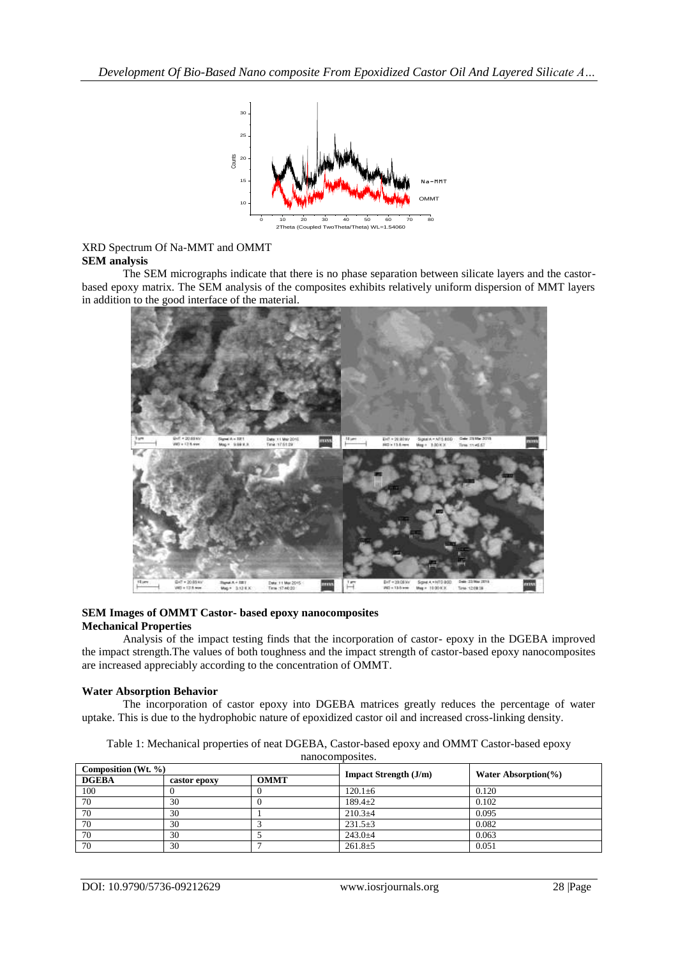

## XRD Spectrum Of Na-MMT and OMMT **SEM analysis**

The SEM micrographs indicate that there is no phase separation between silicate layers and the castorbased epoxy matrix. The SEM analysis of the composites exhibits relatively uniform dispersion of MMT layers in addition to the good interface of the material.



## **SEM Images of OMMT Castor- based epoxy nanocomposites Mechanical Properties**

Analysis of the impact testing finds that the incorporation of castor- epoxy in the DGEBA improved the impact strength.The values of both toughness and the impact strength of castor-based epoxy nanocomposites are increased appreciably according to the concentration of OMMT.

# **Water Absorption Behavior**

The incorporation of castor epoxy into DGEBA matrices greatly reduces the percentage of water uptake. This is due to the hydrophobic nature of epoxidized castor oil and increased cross-linking density.

| Table 1: Mechanical properties of neat DGEBA, Castor-based epoxy and OMMT Castor-based epoxy |
|----------------------------------------------------------------------------------------------|
| nanocomposites.                                                                              |

| Composition (Wt. $\%$ ) |              |             |                                           |                          |
|-------------------------|--------------|-------------|-------------------------------------------|--------------------------|
| <b>DGEBA</b>            | castor epoxy | <b>OMMT</b> | <b>Impact Strength <math>(J/m)</math></b> | Water Absorption $(\% )$ |
| 100                     |              |             | $120.1 \pm 6$                             | 0.120                    |
| 70                      | 30           |             | $189.4 \pm 2$                             | 0.102                    |
| 70                      | 30           |             | $210.3 + 4$                               | 0.095                    |
| 70                      | 30           |             | $231.5 \pm 3$                             | 0.082                    |
| 70                      | 30           |             | $243.0 + 4$                               | 0.063                    |
| 70                      | 30           |             | $261.8 \pm 5$                             | 0.051                    |